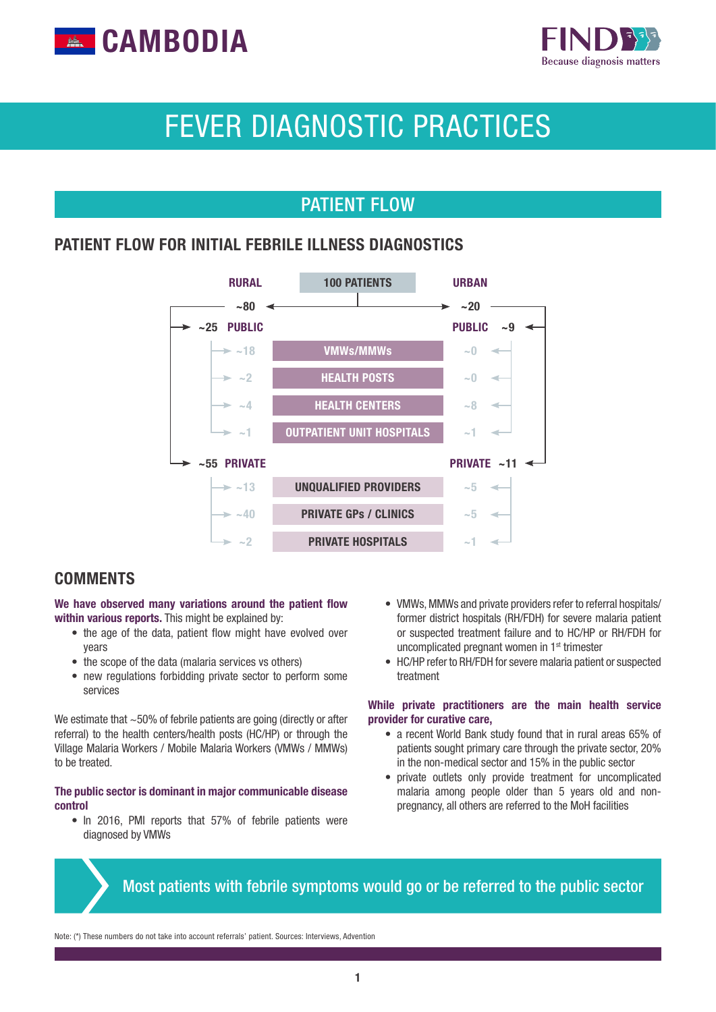



# FEVER DIAGNOSTIC PRACTICES

## PATIENT FLOW

#### PATIENT FLOW FOR INITIAL FEBRILE ILLNESS DIAGNOSTICS



#### **COMMENTS**

#### We have observed many variations around the patient flow within various reports. This might be explained by:

- the age of the data, patient flow might have evolved over years
- the scope of the data (malaria services vs others)
- new regulations forbidding private sector to perform some services

We estimate that ~50% of febrile patients are going (directly or after referral) to the health centers/health posts (HC/HP) or through the Village Malaria Workers / Mobile Malaria Workers (VMWs / MMWs) to be treated.

#### The public sector is dominant in major communicable disease control

• In 2016, PMI reports that 57% of febrile patients were diagnosed by VMWs

- VMWs, MMWs and private providers refer to referral hospitals/ former district hospitals (RH/FDH) for severe malaria patient or suspected treatment failure and to HC/HP or RH/FDH for uncomplicated pregnant women in 1st trimester
- HC/HP refer to RH/FDH for severe malaria patient or suspected treatment

#### While private practitioners are the main health service provider for curative care,

- a recent World Bank study found that in rural areas 65% of patients sought primary care through the private sector, 20% in the non-medical sector and 15% in the public sector
- private outlets only provide treatment for uncomplicated malaria among people older than 5 years old and nonpregnancy, all others are referred to the MoH facilities

## Most patients with febrile symptoms would go or be referred to the public sector

Note: (\*) These numbers do not take into account referrals' patient. Sources: Interviews, Advention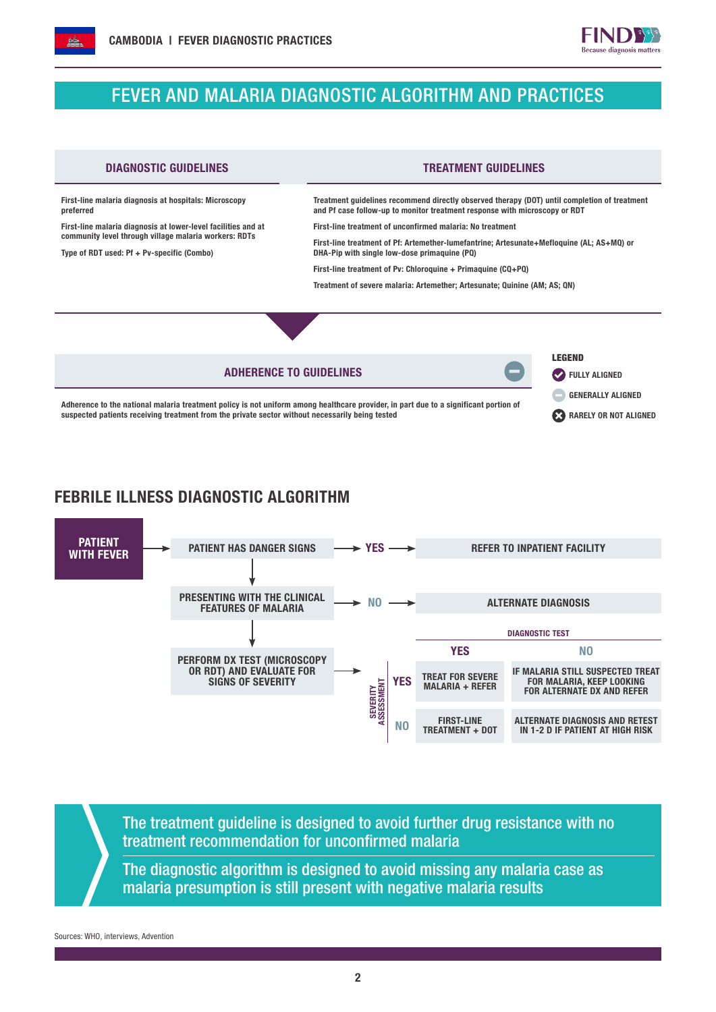

## FEVER AND MALARIA DIAGNOSTIC ALGORITHM AND PRACTICES



### FEBRILE ILLNESS DIAGNOSTIC ALGORITHM



The treatment guideline is designed to avoid further drug resistance with no treatment recommendation for unconfirmed malaria

The diagnostic algorithm is designed to avoid missing any malaria case as malaria presumption is still present with negative malaria results

Sources: WHO, interviews, Advention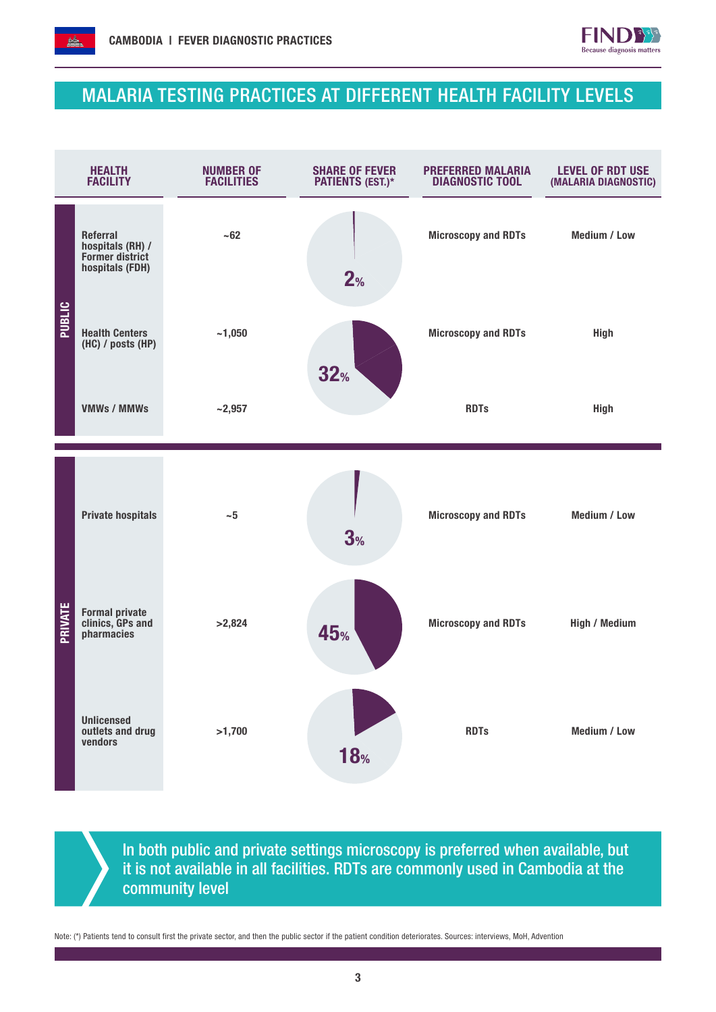



## MALARIA TESTING PRACTICES AT DIFFERENT HEALTH FACILITY LEVELS



In both public and private settings microscopy is preferred when available, but it is not available in all facilities. RDTs are commonly used in Cambodia at the community level

Note: (\*) Patients tend to consult first the private sector, and then the public sector if the patient condition deteriorates. Sources: interviews, MoH, Advention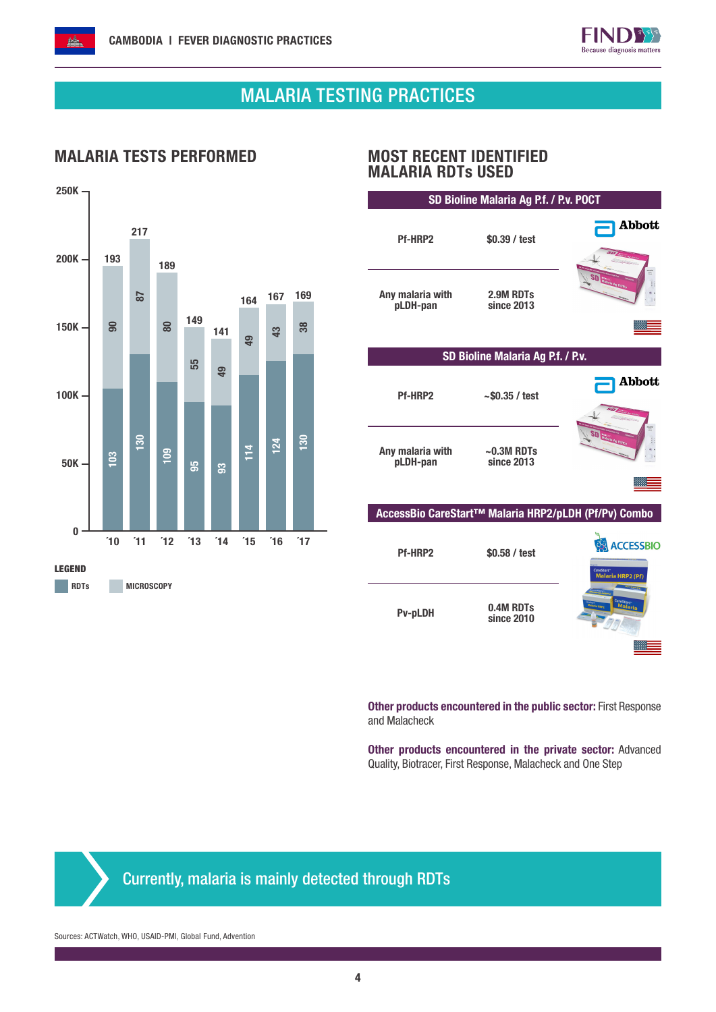

# MALARIA TESTING PRACTICES

I

I

Ι

### MALARIA TESTS PERFORMED MOST RECENT IDENTIFIED



# MALARIA RDTs USED

| SD Bioline Malaria Ag P.f. / P.v. POCT |                                                      |                                                                |  |  |  |  |  |  |  |
|----------------------------------------|------------------------------------------------------|----------------------------------------------------------------|--|--|--|--|--|--|--|
| Pf-HRP2                                | \$0.39 / test                                        | <b>Abbott</b>                                                  |  |  |  |  |  |  |  |
| Any malaria with<br>pLDH-pan           | 2.9M RDTs<br>since 2013                              |                                                                |  |  |  |  |  |  |  |
|                                        |                                                      |                                                                |  |  |  |  |  |  |  |
| SD Bioline Malaria Ag P.f. / P.v.      |                                                      |                                                                |  |  |  |  |  |  |  |
| Pf-HRP2                                | $-$ \$0.35 / test                                    | Abbott                                                         |  |  |  |  |  |  |  |
| Any malaria with<br>pLDH-pan           | $\sim$ 0.3M RDTs<br>since 2013                       |                                                                |  |  |  |  |  |  |  |
|                                        |                                                      |                                                                |  |  |  |  |  |  |  |
|                                        | AccessBio CareStart™ Malaria HRP2/pLDH (Pf/Pv) Combo |                                                                |  |  |  |  |  |  |  |
| Pf-HRP2                                | \$0.58 / test                                        | <b>ACCESSBIO</b><br>CareStart <sup>-</sup><br>Malaria HRP2 (Pf |  |  |  |  |  |  |  |
| Pv-pLDH                                | 0.4M RDTs<br>since 2010                              |                                                                |  |  |  |  |  |  |  |
|                                        |                                                      |                                                                |  |  |  |  |  |  |  |

Other products encountered in the public sector: First Response and Malacheck

Other products encountered in the private sector: Advanced Quality, Biotracer, First Response, Malacheck and One Step

Currently, malaria is mainly detected through RDTs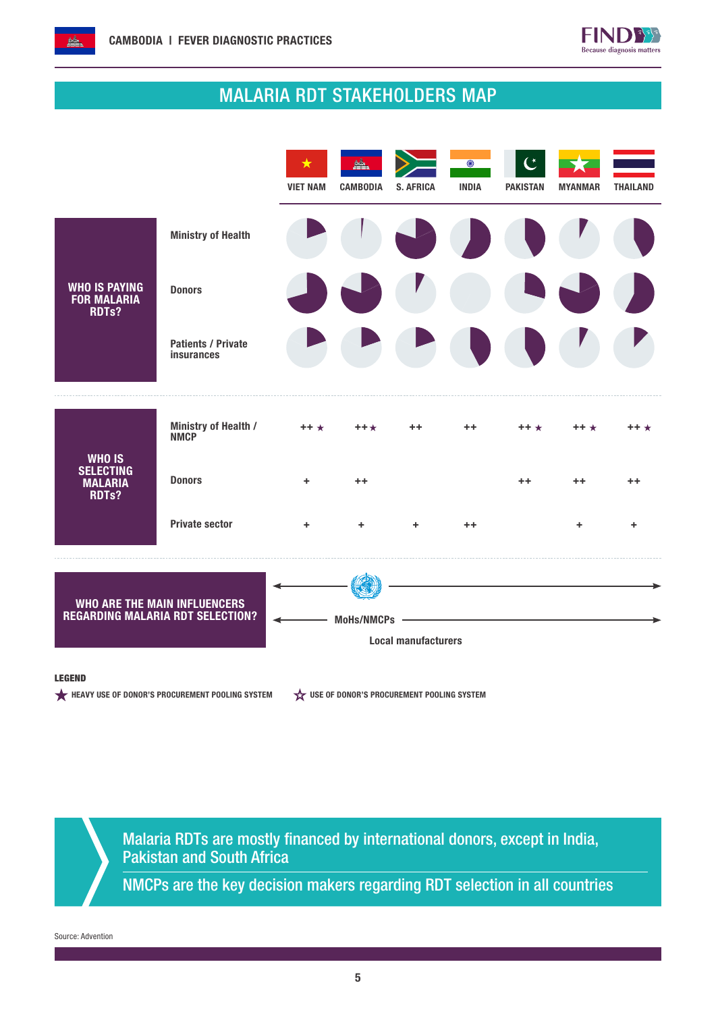

# MALARIA RDT STAKEHOLDERS MAP



#### LEGEND

HEAVY USE OF DONOR'S PROCUREMENT POOLING SYSTEM  $\overleftrightarrow{\mathbf{x}}$  use of Donor's procurement pooling system

Malaria RDTs are mostly financed by international donors, except in India, Pakistan and South Africa

NMCPs are the key decision makers regarding RDT selection in all countries

Source: Advention